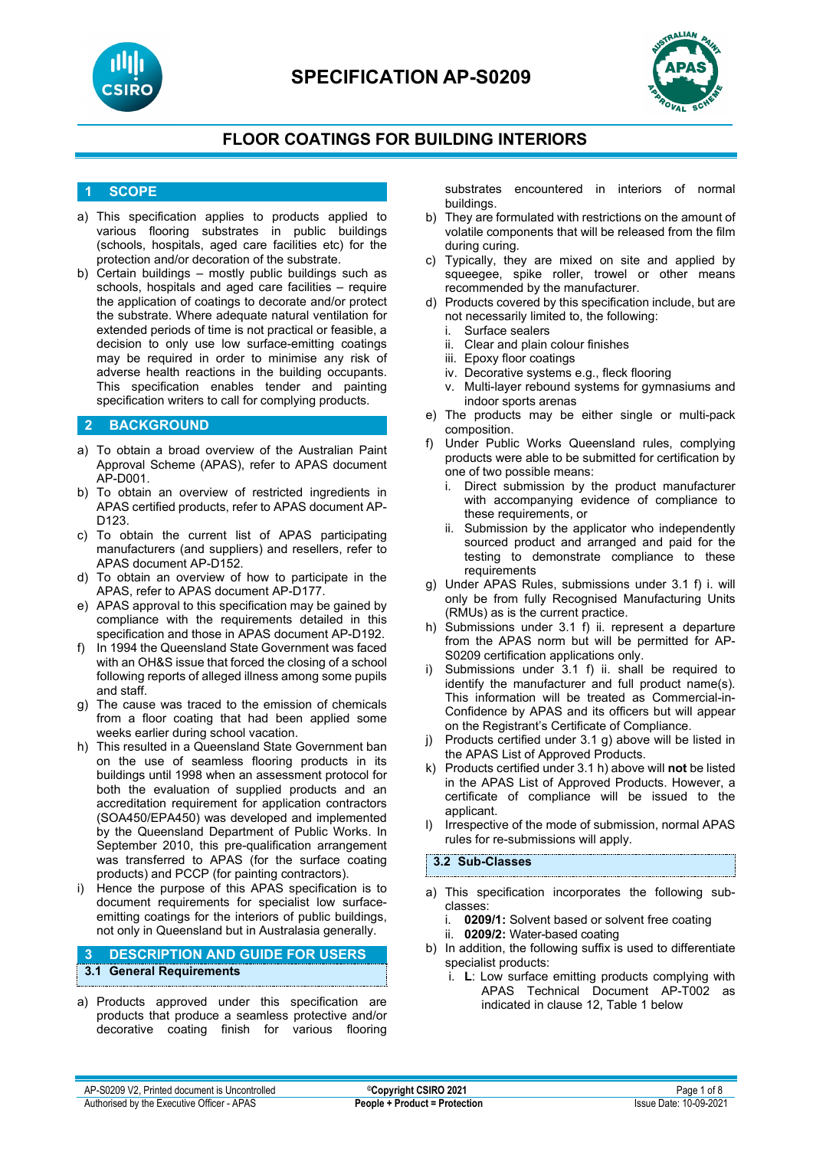

# **SPECIFICATION AP-S0209**



## **FLOOR COATINGS FOR BUILDING INTERIORS**

#### **1 SCOPE**

- a) This specification applies to products applied to various flooring substrates in public buildings (schools, hospitals, aged care facilities etc) for the protection and/or decoration of the substrate.
- b) Certain buildings mostly public buildings such as schools, hospitals and aged care facilities – require the application of coatings to decorate and/or protect the substrate. Where adequate natural ventilation for extended periods of time is not practical or feasible, a decision to only use low surface-emitting coatings may be required in order to minimise any risk of adverse health reactions in the building occupants. This specification enables tender and painting specification writers to call for complying products.

#### **2 BACKGROUND**

- a) To obtain a broad overview of the Australian Paint Approval Scheme (APAS), refer to APAS document AP-D001.
- b) To obtain an overview of restricted ingredients in APAS certified products, refer to APAS document AP-D123.
- c) To obtain the current list of APAS participating manufacturers (and suppliers) and resellers, refer to APAS document AP-D152.
- d) To obtain an overview of how to participate in the APAS, refer to APAS document AP-D177.
- e) APAS approval to this specification may be gained by compliance with the requirements detailed in this specification and those in APAS document AP-D192.
- f) In 1994 the Queensland State Government was faced with an OH&S issue that forced the closing of a school following reports of alleged illness among some pupils and staff.
- g) The cause was traced to the emission of chemicals from a floor coating that had been applied some weeks earlier during school vacation.
- h) This resulted in a Queensland State Government ban on the use of seamless flooring products in its buildings until 1998 when an assessment protocol for both the evaluation of supplied products and an accreditation requirement for application contractors (SOA450/EPA450) was developed and implemented by the Queensland Department of Public Works. In September 2010, this pre-qualification arrangement was transferred to APAS (for the surface coating products) and PCCP (for painting contractors).
- Hence the purpose of this APAS specification is to document requirements for specialist low surfaceemitting coatings for the interiors of public buildings, not only in Queensland but in Australasia generally.

**3 DESCRIPTION AND GUIDE FOR USERS 3.1 General Requirements**

a) Products approved under this specification are products that produce a seamless protective and/or decorative coating finish for various flooring

substrates encountered in interiors of normal buildings.

- b) They are formulated with restrictions on the amount of volatile components that will be released from the film during curing.
- c) Typically, they are mixed on site and applied by squeegee, spike roller, trowel or other means recommended by the manufacturer.
- d) Products covered by this specification include, but are not necessarily limited to, the following:<br>i. Surface sealers
	- i. Surface sealers<br>ii. Clear and plain
	- Clear and plain colour finishes
	- iii. Epoxy floor coatings
	- iv. Decorative systems e.g., fleck flooring
	- v. Multi-layer rebound systems for gymnasiums and indoor sports arenas
- e) The products may be either single or multi-pack composition.
- f) Under Public Works Queensland rules, complying products were able to be submitted for certification by one of two possible means:
	- Direct submission by the product manufacturer with accompanying evidence of compliance to these requirements, or
	- ii. Submission by the applicator who independently sourced product and arranged and paid for the testing to demonstrate compliance to these requirements
- g) Under APAS Rules, submissions under 3.1 f) i. will only be from fully Recognised Manufacturing Units (RMUs) as is the current practice.
- h) Submissions under 3.1 f) ii. represent a departure from the APAS norm but will be permitted for AP-S0209 certification applications only.
- Submissions under 3.1 f) ii. shall be required to identify the manufacturer and full product name(s). This information will be treated as Commercial-in-Confidence by APAS and its officers but will appear on the Registrant's Certificate of Compliance.
- j) Products certified under 3.1 g) above will be listed in the APAS List of Approved Products.
- k) Products certified under 3.1 h) above will **not** be listed in the APAS List of Approved Products. However, a certificate of compliance will be issued to the applicant.
- l) Irrespective of the mode of submission, normal APAS rules for re-submissions will apply.

#### **3.2 Sub-Classes**

- a) This specification incorporates the following subclasses:
	- i. **0209/1:** Solvent based or solvent free coating
	- ii. **0209/2:** Water-based coating
- b) In addition, the following suffix is used to differentiate specialist products:
	- i. **L**: Low surface emitting products complying with APAS Technical Document AP-T002 as indicated in clause 12, Table 1 below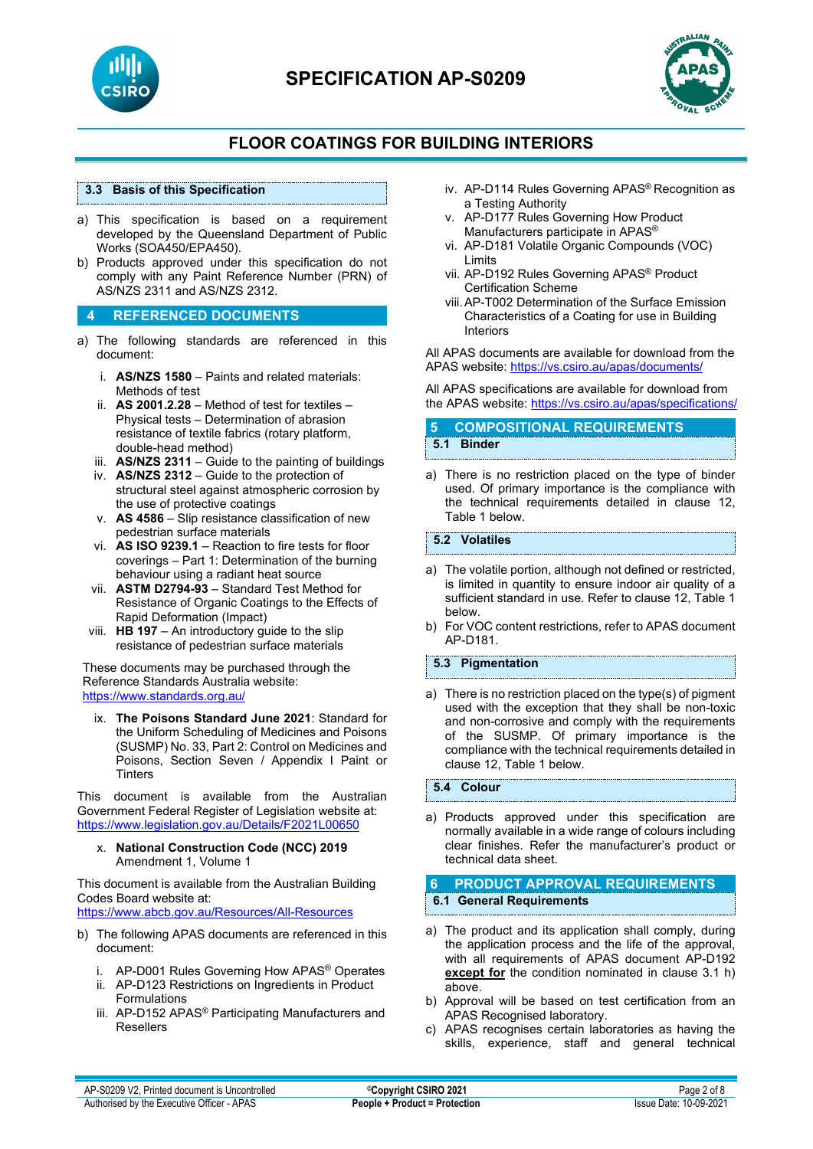

# **SPECIFICATION AP-S0209**



## **FLOOR COATINGS FOR BUILDING INTERIORS**

#### **3.3 Basis of this Specification**

- a) This specification is based on a requirement developed by the Queensland Department of Public Works (SOA450/EPA450).
- b) Products approved under this specification do not comply with any Paint Reference Number (PRN) of AS/NZS 2311 and AS/NZS 2312.

#### **4 REFERENCED DOCUMENTS**

- a) The following standards are referenced in this document:
	- i. **AS/NZS 1580** Paints and related materials: Methods of test
	- ii. **AS 2001.2.28** Method of test for textiles Physical tests – Determination of abrasion resistance of textile fabrics (rotary platform, double-head method)
	- iii. **AS/NZS 2311**  Guide to the painting of buildings
	- iv. **AS/NZS 2312**  Guide to the protection of structural steel against atmospheric corrosion by the use of protective coatings
	- v. **AS 4586**  Slip resistance classification of new pedestrian surface materials
	- vi. **AS ISO 9239.1** Reaction to fire tests for floor coverings – Part 1: Determination of the burning behaviour using a radiant heat source
	- vii. **ASTM D2794-93** Standard Test Method for Resistance of Organic Coatings to the Effects of Rapid Deformation (Impact)
	- viii. **HB 197**  An introductory guide to the slip resistance of pedestrian surface materials

These documents may be purchased through the Reference Standards Australia website: <https://www.standards.org.au/>

ix. **The Poisons Standard June 2021**: Standard for the Uniform Scheduling of Medicines and Poisons (SUSMP) No. 33, Part 2: Control on Medicines and Poisons, Section Seven / Appendix I Paint or **Tinters** 

This document is available from the Australian Government Federal Register of Legislation website at: <https://www.legislation.gov.au/Details/F2021L00650>

x. **National Construction Code (NCC) 2019**  Amendment 1, Volume 1

This document is available from the Australian Building Codes Board website at:

<https://www.abcb.gov.au/Resources/All-Resources>

- b) The following APAS documents are referenced in this document:
	- i. AP-D001 Rules Governing How APAS® Operates
	- ii. AP-D123 Restrictions on Ingredients in Product Formulations
	- iii. AP-D152 APAS<sup>®</sup> Participating Manufacturers and Resellers
- iv. AP-D114 Rules Governing APAS® Recognition as a Testing Authority
- v. AP-D177 Rules Governing How Product Manufacturers participate in APAS®
- vi. AP-D181 Volatile Organic Compounds (VOC) Limits
- vii. AP-D192 Rules Governing APAS® Product Certification Scheme
- viii.AP-T002 Determination of the Surface Emission Characteristics of a Coating for use in Building Interiors

All APAS documents are available for download from the APAS website: <https://vs.csiro.au/apas/documents/>

All APAS specifications are available for download from the APAS website: <https://vs.csiro.au/apas/specifications/>

### **5 COMPOSITIONAL REQUIREMENTS 5.1 Binder**

a) There is no restriction placed on the type of binder used. Of primary importance is the compliance with the technical requirements detailed in clause 12, Table 1 below.

#### **5.2 Volatiles**

- a) The volatile portion, although not defined or restricted, is limited in quantity to ensure indoor air quality of a sufficient standard in use. Refer to clause 12, Table 1 below.
- b) For VOC content restrictions, refer to APAS document AP-D181.

#### **5.3 Pigmentation**

a) There is no restriction placed on the type(s) of pigment used with the exception that they shall be non-toxic and non-corrosive and comply with the requirements of the SUSMP. Of primary importance is the compliance with the technical requirements detailed in clause 12, Table 1 below.

**5.4 Colour**

a) Products approved under this specification are normally available in a wide range of colours including clear finishes. Refer the manufacturer's product or technical data sheet.

#### **6 PRODUCT APPROVAL REQUIREMENTS 6.1 General Requirements**

- a) The product and its application shall comply, during the application process and the life of the approval, with all requirements of APAS document AP-D192 **except for** the condition nominated in clause 3.1 h) above.
- b) Approval will be based on test certification from an APAS Recognised laboratory.
- c) APAS recognises certain laboratories as having the skills, experience, staff and general technical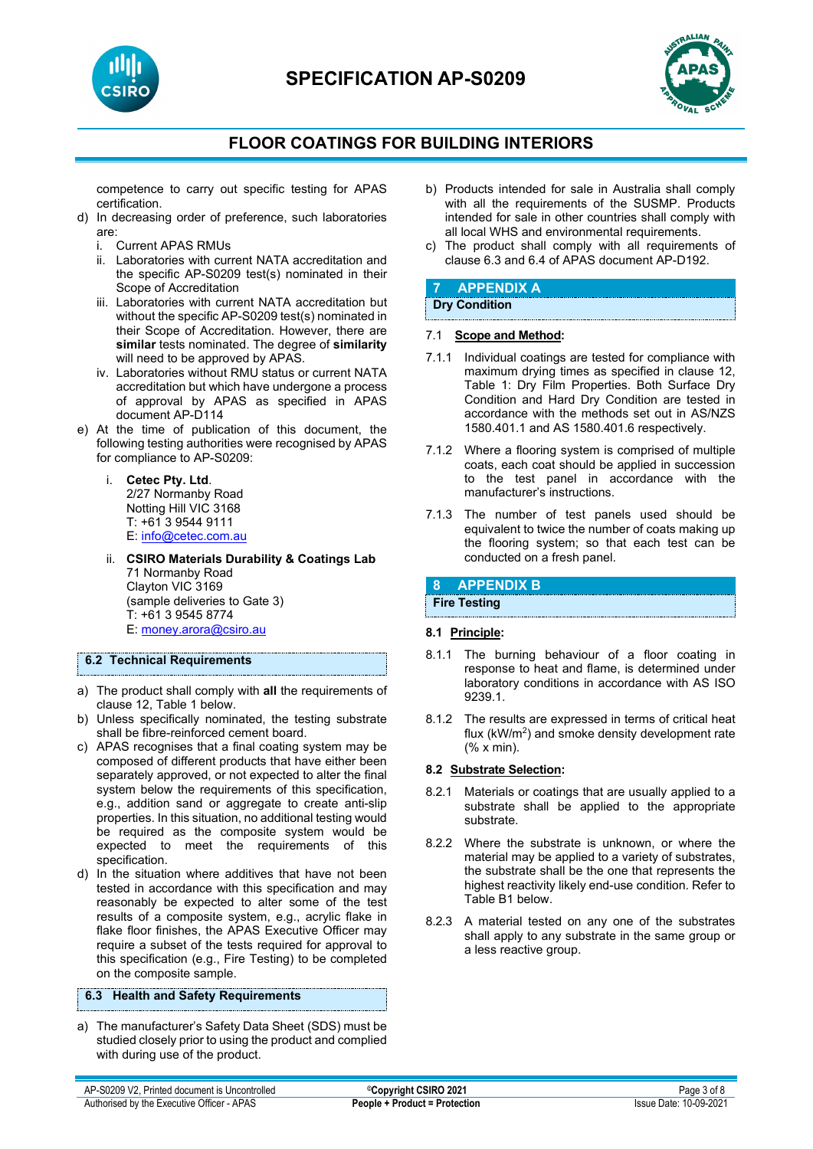



competence to carry out specific testing for APAS certification.

- d) In decreasing order of preference, such laboratories are:
	- i. Current APAS RMUs
	- ii. Laboratories with current NATA accreditation and the specific AP-S0209 test(s) nominated in their Scope of Accreditation
	- iii. Laboratories with current NATA accreditation but without the specific AP-S0209 test(s) nominated in their Scope of Accreditation. However, there are **similar** tests nominated. The degree of **similarity** will need to be approved by APAS.
	- iv. Laboratories without RMU status or current NATA accreditation but which have undergone a process of approval by APAS as specified in APAS document AP-D114
- e) At the time of publication of this document, the following testing authorities were recognised by APAS for compliance to AP-S0209:
	- i. **Cetec Pty. Ltd**. 2/27 Normanby Road Notting Hill VIC 3168 T: +61 3 9544 9111 E: [info@cetec.com.au](mailto:info@cetec.com.au)
	- ii. **CSIRO Materials Durability & Coatings Lab** 71 Normanby Road Clayton VIC 3169 (sample deliveries to Gate 3) T: +61 3 9545 8774 E: [money.arora@csiro.au](mailto:money.arora@csiro.au)

#### **6.2 Technical Requirements**

- a) The product shall comply with **all** the requirements of clause 12, Table 1 below.
- b) Unless specifically nominated, the testing substrate shall be fibre-reinforced cement board.
- c) APAS recognises that a final coating system may be composed of different products that have either been separately approved, or not expected to alter the final system below the requirements of this specification, e.g., addition sand or aggregate to create anti-slip properties. In this situation, no additional testing would be required as the composite system would be expected to meet the requirements of this specification.
- d) In the situation where additives that have not been tested in accordance with this specification and may reasonably be expected to alter some of the test results of a composite system, e.g., acrylic flake in flake floor finishes, the APAS Executive Officer may require a subset of the tests required for approval to this specification (e.g., Fire Testing) to be completed on the composite sample.

#### **6.3 Health and Safety Requirements**

a) The manufacturer's Safety Data Sheet (SDS) must be studied closely prior to using the product and complied with during use of the product.

- b) Products intended for sale in Australia shall comply with all the requirements of the SUSMP. Products intended for sale in other countries shall comply with all local WHS and environmental requirements.
- c) The product shall comply with all requirements of clause 6.3 and 6.4 of APAS document AP-D192.

#### **7 APPENDIX A Dry Condition**

#### 7.1 **Scope and Method:**

- 7.1.1 Individual coatings are tested for compliance with maximum drying times as specified in clause 12, Table 1: Dry Film Properties. Both Surface Dry Condition and Hard Dry Condition are tested in accordance with the methods set out in AS/NZS 1580.401.1 and AS 1580.401.6 respectively.
- 7.1.2 Where a flooring system is comprised of multiple coats, each coat should be applied in succession to the test panel in accordance with the manufacturer's instructions.
- 7.1.3 The number of test panels used should be equivalent to twice the number of coats making up the flooring system; so that each test can be conducted on a fresh panel.

### **8 APPENDIX B**

**Fire Testing**

#### **8.1 Principle:**

- 8.1.1 The burning behaviour of a floor coating in response to heat and flame, is determined under laboratory conditions in accordance with AS ISO 9239.1.
- 8.1.2 The results are expressed in terms of critical heat flux ( $kW/m<sup>2</sup>$ ) and smoke density development rate (% x min).

#### **8.2 Substrate Selection:**

- 8.2.1 Materials or coatings that are usually applied to a substrate shall be applied to the appropriate substrate.
- 8.2.2 Where the substrate is unknown, or where the material may be applied to a variety of substrates, the substrate shall be the one that represents the highest reactivity likely end-use condition. Refer to Table B1 below.
- 8.2.3 A material tested on any one of the substrates shall apply to any substrate in the same group or a less reactive group.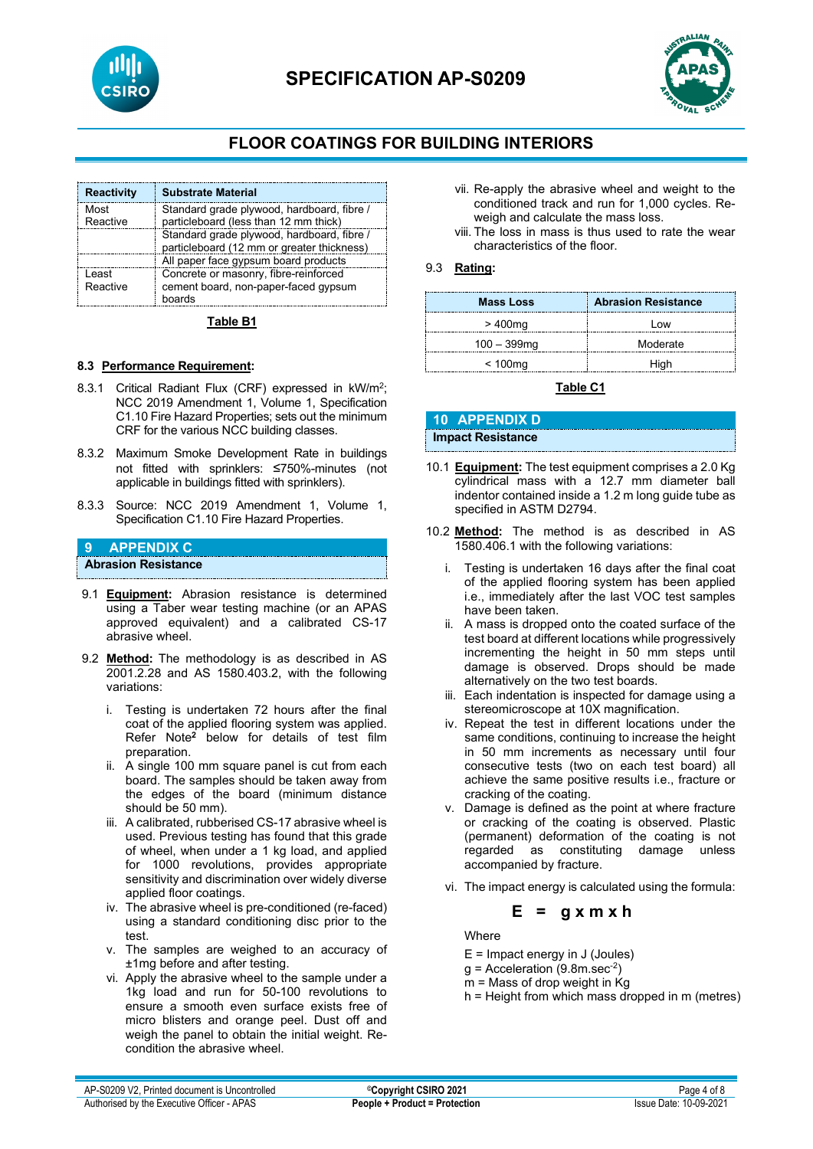

# **SPECIFICATION AP-S0209**



## **FLOOR COATINGS FOR BUILDING INTERIORS**

| <b>Reactivity</b> | <b>Substrate Material</b>                                                                |
|-------------------|------------------------------------------------------------------------------------------|
| Most<br>Reactive  | Standard grade plywood, hardboard, fibre /<br>particleboard (less than 12 mm thick)      |
|                   | Standard grade plywood, hardboard, fibre /<br>particleboard (12 mm or greater thickness) |
|                   | All paper face gypsum board products                                                     |
| Least<br>Reactive | Concrete or masonry, fibre-reinforced<br>cement board, non-paper-faced gypsum<br>hoards  |

#### **Table B1**

#### **8.3 Performance Requirement:**

- 8.3.1 Critical Radiant Flux (CRF) expressed in kW/m2; NCC 2019 Amendment 1, Volume 1, Specification C1.10 Fire Hazard Properties; sets out the minimum CRF for the various NCC building classes.
- 8.3.2 Maximum Smoke Development Rate in buildings not fitted with sprinklers: ≤750%-minutes (not applicable in buildings fitted with sprinklers).
- 8.3.3 Source: NCC 2019 Amendment 1, Volume 1, Specification C1.10 Fire Hazard Properties.

### **9 APPENDIX C**

**Abrasion Resistance**

- 9.1 **Equipment:** Abrasion resistance is determined using a Taber wear testing machine (or an APAS approved equivalent) and a calibrated CS-17 abrasive wheel.
- 9.2 **Method:** The methodology is as described in AS 2001.2.28 and AS 1580.403.2, with the following variations:
	- i. Testing is undertaken 72 hours after the final coat of the applied flooring system was applied. Refer Note**<sup>2</sup>** below for details of test film preparation.
	- ii. A single 100 mm square panel is cut from each board. The samples should be taken away from the edges of the board (minimum distance should be 50 mm).
	- iii. A calibrated, rubberised CS-17 abrasive wheel is used. Previous testing has found that this grade of wheel, when under a 1 kg load, and applied for 1000 revolutions, provides appropriate sensitivity and discrimination over widely diverse applied floor coatings.
	- iv. The abrasive wheel is pre-conditioned (re-faced) using a standard conditioning disc prior to the test.
	- v. The samples are weighed to an accuracy of ±1mg before and after testing.
	- vi. Apply the abrasive wheel to the sample under a 1kg load and run for 50-100 revolutions to ensure a smooth even surface exists free of micro blisters and orange peel. Dust off and weigh the panel to obtain the initial weight. Recondition the abrasive wheel.
- vii. Re-apply the abrasive wheel and weight to the conditioned track and run for 1,000 cycles. Reweigh and calculate the mass loss.
- viii. The loss in mass is thus used to rate the wear characteristics of the floor.

#### 9.3 **Rating:**

| <b>Mass Loss</b> | <b>Abrasion Resistance</b> |
|------------------|----------------------------|
| $>400$ mg        | l ow                       |
| $100 - 399$ mq   | Moderate                   |
| $< 100$ mg       | High                       |

### **Table C1**

# **10 APPENDIX D Impact Resistance**

- 10.1 **Equipment:** The test equipment comprises a 2.0 Kg cylindrical mass with a 12.7 mm diameter ball indentor contained inside a 1.2 m long guide tube as specified in ASTM D2794.
- 10.2 **Method:** The method is as described in AS 1580.406.1 with the following variations:
	- i. Testing is undertaken 16 days after the final coat of the applied flooring system has been applied i.e., immediately after the last VOC test samples have been taken.
	- ii. A mass is dropped onto the coated surface of the test board at different locations while progressively incrementing the height in 50 mm steps until damage is observed. Drops should be made alternatively on the two test boards.
	- iii. Each indentation is inspected for damage using a stereomicroscope at 10X magnification.
	- iv. Repeat the test in different locations under the same conditions, continuing to increase the height in 50 mm increments as necessary until four consecutive tests (two on each test board) all achieve the same positive results i.e., fracture or cracking of the coating.
	- v. Damage is defined as the point at where fracture or cracking of the coating is observed. Plastic (permanent) deformation of the coating is not regarded as constituting damage unless accompanied by fracture.
	- vi. The impact energy is calculated using the formula:

## **E = g x m x h**

**Where** 

- E = Impact energy in J (Joules)
- $g =$  Acceleration (9.8m.sec<sup>-2</sup>)
- m = Mass of drop weight in Kg
- h = Height from which mass dropped in m (metres)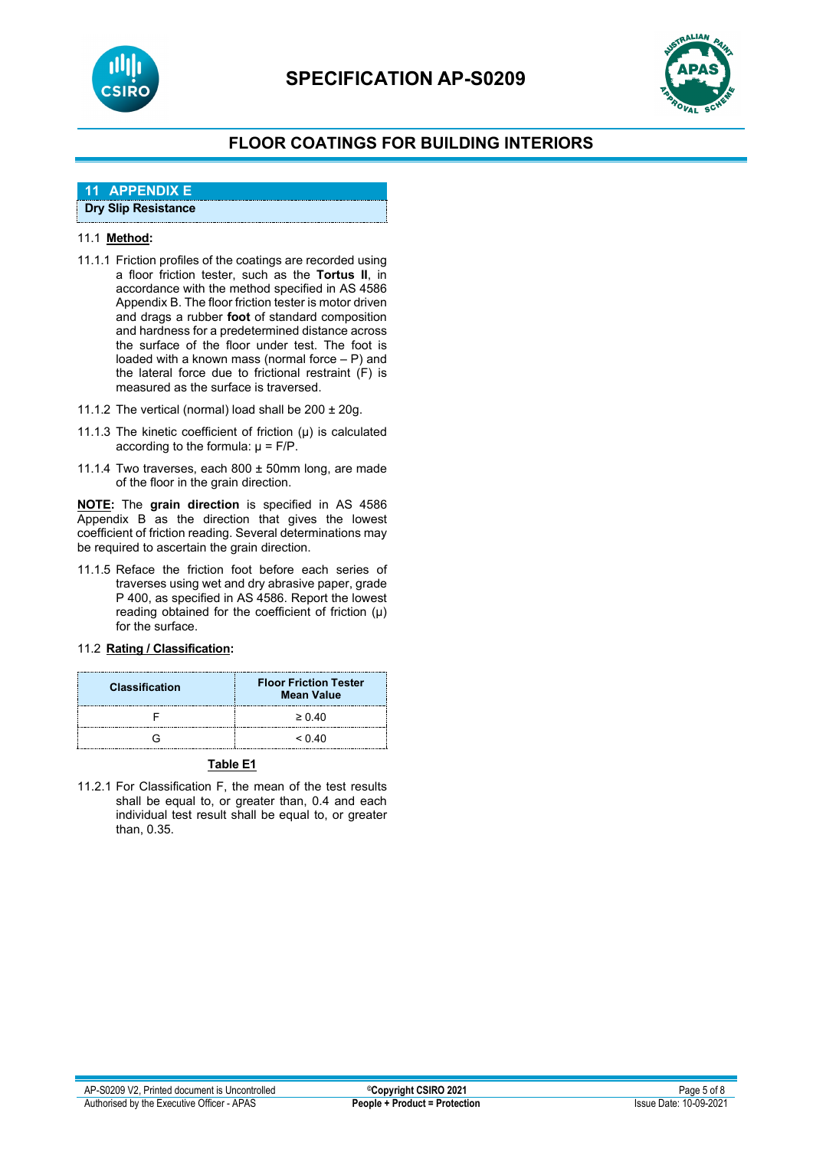



## **11 APPENDIX E**

**Dry Slip Resistance**

### 11.1 **Method:**

- 11.1.1 Friction profiles of the coatings are recorded using a floor friction tester, such as the **Tortus II**, in accordance with the method specified in AS 4586 Appendix B. The floor friction tester is motor driven and drags a rubber **foot** of standard composition and hardness for a predetermined distance across the surface of the floor under test. The foot is loaded with a known mass (normal force – P) and the lateral force due to frictional restraint  $(F)$  is measured as the surface is traversed.
- 11.1.2 The vertical (normal) load shall be  $200 \pm 20g$ .
- 11.1.3 The kinetic coefficient of friction (µ) is calculated according to the formula:  $\mu$  = F/P.
- 11.1.4 Two traverses, each 800 ± 50mm long, are made of the floor in the grain direction.

**NOTE:** The **grain direction** is specified in AS 4586 Appendix B as the direction that gives the lowest coefficient of friction reading. Several determinations may be required to ascertain the grain direction.

11.1.5 Reface the friction foot before each series of traverses using wet and dry abrasive paper, grade P 400, as specified in AS 4586. Report the lowest reading obtained for the coefficient of friction  $(\mu)$ for the surface.

### 11.2 **Rating / Classification:**

| <b>Classification</b> | <b>Floor Friction Tester</b><br><b>Mean Value</b> |
|-----------------------|---------------------------------------------------|
|                       | $\geq 0.40$                                       |
|                       | < 0.40                                            |

#### **Table E1**

11.2.1 For Classification F, the mean of the test results shall be equal to, or greater than, 0.4 and each individual test result shall be equal to, or greater than, 0.35.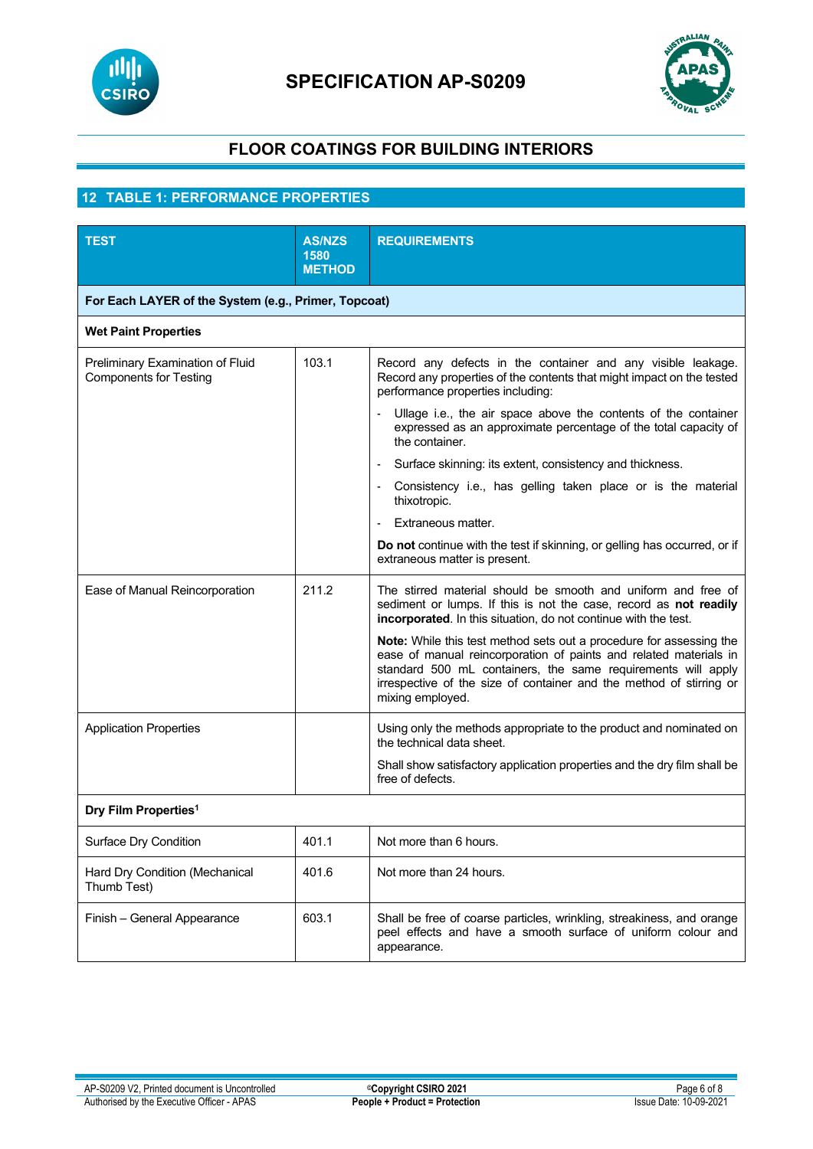



## **12 TABLE 1: PERFORMANCE PROPERTIES**

| <b>TEST</b>                                                       | <b>AS/NZS</b><br>1580<br><b>METHOD</b>               | <b>REQUIREMENTS</b>                                                                                                                                                                                                                                                                                 |  |  |  |
|-------------------------------------------------------------------|------------------------------------------------------|-----------------------------------------------------------------------------------------------------------------------------------------------------------------------------------------------------------------------------------------------------------------------------------------------------|--|--|--|
|                                                                   | For Each LAYER of the System (e.g., Primer, Topcoat) |                                                                                                                                                                                                                                                                                                     |  |  |  |
| <b>Wet Paint Properties</b>                                       |                                                      |                                                                                                                                                                                                                                                                                                     |  |  |  |
| Preliminary Examination of Fluid<br><b>Components for Testing</b> | 103.1                                                | Record any defects in the container and any visible leakage.<br>Record any properties of the contents that might impact on the tested<br>performance properties including:                                                                                                                          |  |  |  |
|                                                                   |                                                      | - Ullage i.e., the air space above the contents of the container<br>expressed as an approximate percentage of the total capacity of<br>the container.                                                                                                                                               |  |  |  |
|                                                                   |                                                      | Surface skinning: its extent, consistency and thickness.<br>$\blacksquare$                                                                                                                                                                                                                          |  |  |  |
|                                                                   |                                                      | Consistency i.e., has gelling taken place or is the material<br>thixotropic.                                                                                                                                                                                                                        |  |  |  |
|                                                                   |                                                      | Extraneous matter.                                                                                                                                                                                                                                                                                  |  |  |  |
|                                                                   |                                                      | Do not continue with the test if skinning, or gelling has occurred, or if<br>extraneous matter is present.                                                                                                                                                                                          |  |  |  |
| Ease of Manual Reincorporation                                    | 211.2                                                | The stirred material should be smooth and uniform and free of<br>sediment or lumps. If this is not the case, record as not readily<br>incorporated. In this situation, do not continue with the test.                                                                                               |  |  |  |
|                                                                   |                                                      | Note: While this test method sets out a procedure for assessing the<br>ease of manual reincorporation of paints and related materials in<br>standard 500 mL containers, the same requirements will apply<br>irrespective of the size of container and the method of stirring or<br>mixing employed. |  |  |  |
| <b>Application Properties</b>                                     |                                                      | Using only the methods appropriate to the product and nominated on<br>the technical data sheet.                                                                                                                                                                                                     |  |  |  |
|                                                                   |                                                      | Shall show satisfactory application properties and the dry film shall be<br>free of defects.                                                                                                                                                                                                        |  |  |  |
| Dry Film Properties <sup>1</sup>                                  |                                                      |                                                                                                                                                                                                                                                                                                     |  |  |  |
| Surface Dry Condition                                             | 401.1                                                | Not more than 6 hours.                                                                                                                                                                                                                                                                              |  |  |  |
| Hard Dry Condition (Mechanical<br>Thumb Test)                     | 401.6                                                | Not more than 24 hours.                                                                                                                                                                                                                                                                             |  |  |  |
| Finish - General Appearance                                       | 603.1                                                | Shall be free of coarse particles, wrinkling, streakiness, and orange<br>peel effects and have a smooth surface of uniform colour and<br>appearance.                                                                                                                                                |  |  |  |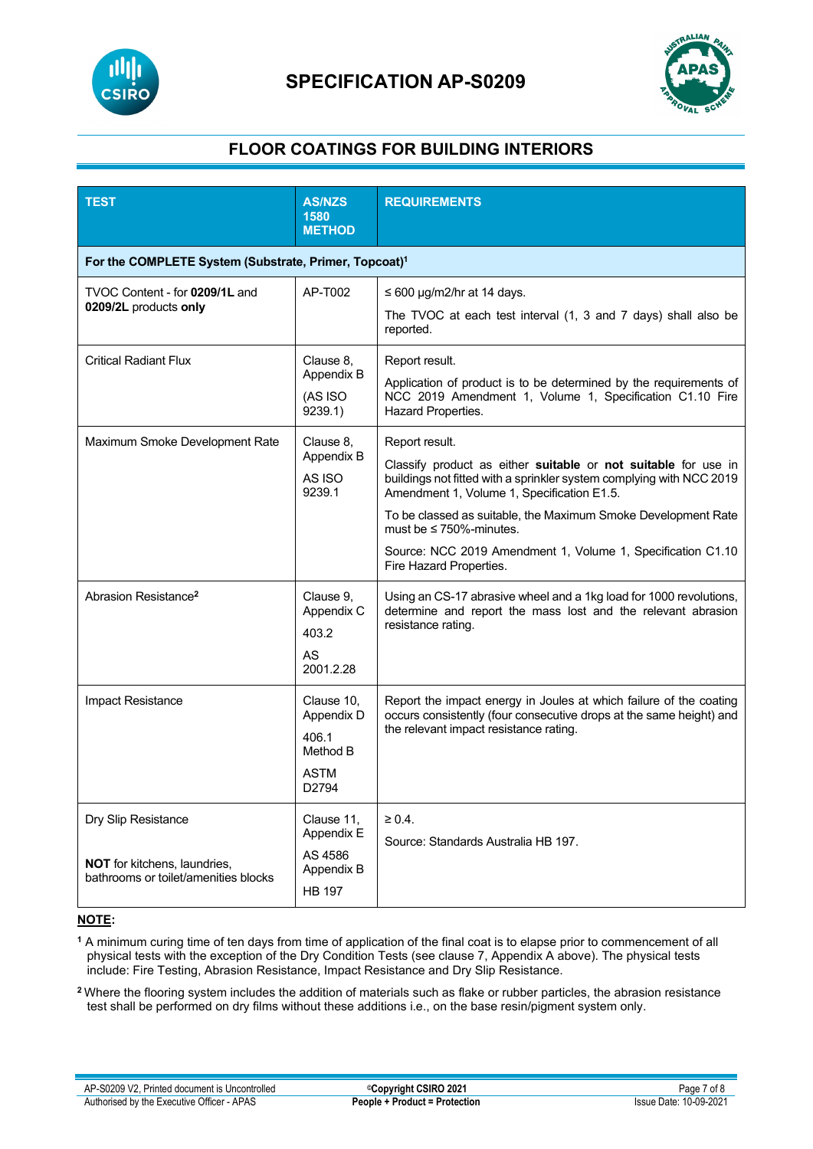



| <b>TEST</b>                                                                                 | <b>AS/NZS</b><br>1580<br><b>METHOD</b>                                | <b>REQUIREMENTS</b>                                                                                                                                                                                                                                                                                                                                                                                 |  |  |  |
|---------------------------------------------------------------------------------------------|-----------------------------------------------------------------------|-----------------------------------------------------------------------------------------------------------------------------------------------------------------------------------------------------------------------------------------------------------------------------------------------------------------------------------------------------------------------------------------------------|--|--|--|
|                                                                                             | For the COMPLETE System (Substrate, Primer, Topcoat) <sup>1</sup>     |                                                                                                                                                                                                                                                                                                                                                                                                     |  |  |  |
| TVOC Content - for 0209/1L and<br>0209/2L products only                                     | AP-T002                                                               | $\leq 600 \text{ µg/m2/hr}$ at 14 days.<br>The TVOC at each test interval (1, 3 and 7 days) shall also be<br>reported.                                                                                                                                                                                                                                                                              |  |  |  |
| <b>Critical Radiant Flux</b>                                                                | Clause 8,<br>Appendix B<br>(AS ISO<br>9239.1)                         | Report result.<br>Application of product is to be determined by the requirements of<br>NCC 2019 Amendment 1, Volume 1, Specification C1.10 Fire<br>Hazard Properties.                                                                                                                                                                                                                               |  |  |  |
| Maximum Smoke Development Rate                                                              | Clause 8,<br>Appendix B<br>AS ISO<br>9239.1                           | Report result.<br>Classify product as either suitable or not suitable for use in<br>buildings not fitted with a sprinkler system complying with NCC 2019<br>Amendment 1, Volume 1, Specification E1.5.<br>To be classed as suitable, the Maximum Smoke Development Rate<br>must be $\leq 750\%$ -minutes.<br>Source: NCC 2019 Amendment 1, Volume 1, Specification C1.10<br>Fire Hazard Properties. |  |  |  |
| Abrasion Resistance <sup>2</sup>                                                            | Clause 9,<br>Appendix C<br>403.2<br>AS<br>2001.2.28                   | Using an CS-17 abrasive wheel and a 1kg load for 1000 revolutions,<br>determine and report the mass lost and the relevant abrasion<br>resistance rating.                                                                                                                                                                                                                                            |  |  |  |
| Impact Resistance                                                                           | Clause 10,<br>Appendix D<br>406.1<br>Method B<br><b>ASTM</b><br>D2794 | Report the impact energy in Joules at which failure of the coating<br>occurs consistently (four consecutive drops at the same height) and<br>the relevant impact resistance rating.                                                                                                                                                                                                                 |  |  |  |
| Dry Slip Resistance<br>NOT for kitchens, laundries,<br>bathrooms or toilet/amenities blocks | Clause 11,<br>Appendix E<br>AS 4586<br>Appendix B<br><b>HB 197</b>    | $\geq 0.4$ .<br>Source: Standards Australia HB 197.                                                                                                                                                                                                                                                                                                                                                 |  |  |  |

### **NOTE:**

**<sup>1</sup>** A minimum curing time of ten days from time of application of the final coat is to elapse prior to commencement of all physical tests with the exception of the Dry Condition Tests (see clause 7, Appendix A above). The physical tests include: Fire Testing, Abrasion Resistance, Impact Resistance and Dry Slip Resistance.

**<sup>2</sup>**Where the flooring system includes the addition of materials such as flake or rubber particles, the abrasion resistance test shall be performed on dry films without these additions i.e., on the base resin/pigment system only.